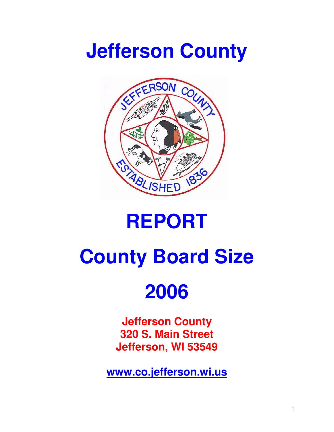## **Jefferson County**



### **REPORT**

# **County Board Size**

## **2006**

**Jefferson County 320 S. Main Street Jefferson, WI 53549** 

**www.co.jefferson.wi.us**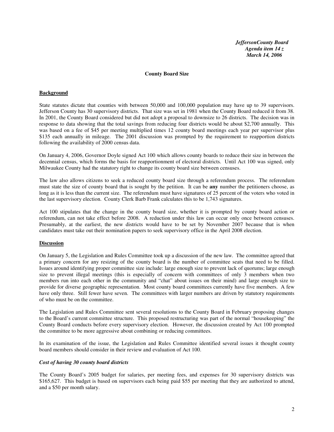*JeffersonCounty Board Agenda item 14 z March 14, 2006* 

#### **County Board Size**

#### **Background**

State statutes dictate that counties with between 50,000 and 100,000 population may have up to 39 supervisors. Jefferson County has 30 supervisory districts. That size was set in 1981 when the County Board reduced it from 38. In 2001, the County Board considered but did not adopt a proposal to downsize to 26 districts. The decision was in response to data showing that the total savings from reducing four districts would be about \$2,700 annually. This was based on a fee of \$45 per meeting multiplied times 12 county board meetings each year per supervisor plus \$135 each annually in mileage. The 2001 discussion was prompted by the requirement to reapportion districts following the availability of 2000 census data.

On January 4, 2006, Governor Doyle signed Act 100 which allows county boards to reduce their size in between the decennial census, which forms the basis for reapportionment of electoral districts. Until Act 100 was signed, only Milwaukee County had the statutory right to change its county board size between censuses.

The law also allows citizens to seek a reduced county board size through a referendum process. The referendum must state the size of county board that is sought by the petition. It can be **any** number the petitioners choose, as long as it is less than the current size. The referendum must have signatures of 25 percent of the voters who voted in the last supervisory election. County Clerk Barb Frank calculates this to be 1,743 signatures.

Act 100 stipulates that the change in the county board size, whether it is prompted by county board action or referendum, can not take effect before 2008. A reduction under this law can occur only once between censuses. Presumably, at the earliest, the new districts would have to be set by November 2007 because that is when candidates must take out their nomination papers to seek supervisory office in the April 2008 election.

#### **Discussion**

On January 5, the Legislation and Rules Committee took up a discussion of the new law. The committee agreed that a primary concern for any resizing of the county board is the number of committee seats that need to be filled. Issues around identifying proper committee size include: large enough size to prevent lack of quorums; large enough size to prevent illegal meetings (this is especially of concern with committees of only 3 members when two members run into each other in the community and "chat" about issues on their mind) and large enough size to provide for diverse geographic representation. Most county board committees currently have five members. A few have only three. Still fewer have seven. The committees with larger numbers are driven by statutory requirements of who must be on the committee.

The Legislation and Rules Committee sent several resolutions to the County Board in February proposing changes to the Board's current committee structure. This proposed restructuring was part of the normal "housekeeping" the County Board conducts before every supervisory election. However, the discussion created by Act 100 prompted the committee to be more aggressive about combining or reducing committees.

In its examination of the issue, the Legislation and Rules Committee identified several issues it thought county board members should consider in their review and evaluation of Act 100.

#### *Cost of having 30 county board districts*

The County Board's 2005 budget for salaries, per meeting fees, and expenses for 30 supervisory districts was \$165,627. This budget is based on supervisors each being paid \$55 per meeting that they are authorized to attend, and a \$50 per month salary.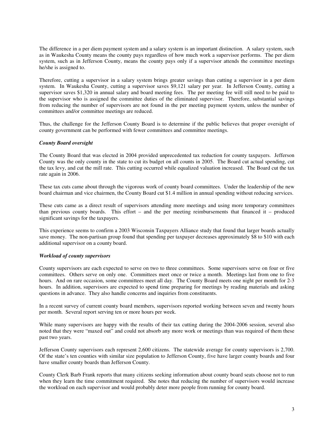The difference in a per diem payment system and a salary system is an important distinction. A salary system, such as in Waukesha County means the county pays regardless of how much work a supervisor performs. The per diem system, such as in Jefferson County, means the county pays only if a supervisor attends the committee meetings he/she is assigned to.

Therefore, cutting a supervisor in a salary system brings greater savings than cutting a supervisor in a per diem system. In Waukesha County, cutting a supervisor saves \$9,121 salary per year. In Jefferson County, cutting a supervisor saves \$1,320 in annual salary and board meeting fees. The per meeting fee will still need to be paid to the supervisor who is assigned the committee duties of the eliminated supervisor. Therefore, substantial savings from reducing the number of supervisors are not found in the per meeting payment system, unless the number of committees and/or committee meetings are reduced.

Thus, the challenge for the Jefferson County Board is to determine if the public believes that proper oversight of county government can be performed with fewer committees and committee meetings.

#### *County Board oversight*

The County Board that was elected in 2004 provided unprecedented tax reduction for county taxpayers. Jefferson County was the only county in the state to cut its budget on all counts in 2005. The Board cut actual spending, cut the tax levy, and cut the mill rate. This cutting occurred while equalized valuation increased. The Board cut the tax rate again in 2006.

These tax cuts came about through the vigorous work of county board committees. Under the leadership of the new board chairman and vice chairmen, the County Board cut \$1.4 million in annual spending without reducing services.

These cuts came as a direct result of supervisors attending more meetings and using more temporary committees than previous county boards. This effort – and the per meeting reimbursements that financed it – produced significant savings for the taxpayers.

This experience seems to confirm a 2003 Wisconsin Taxpayers Alliance study that found that larger boards actually save money. The non-partisan group found that spending per taxpayer decreases approximately \$8 to \$10 with each additional supervisor on a county board.

#### *Workload of county supervisors*

County supervisors are each expected to serve on two to three committees. Some supervisors serve on four or five committees. Others serve on only one. Committees meet once or twice a month. Meetings last from one to five hours. And on rare occasion, some committees meet all day. The County Board meets one night per month for 2-3 hours. In addition, supervisors are expected to spend time preparing for meetings by reading materials and asking questions in advance. They also handle concerns and inquiries from constituents.

In a recent survey of current county board members, supervisors reported working between seven and twenty hours per month. Several report serving ten or more hours per week.

While many supervisors are happy with the results of their tax cutting during the 2004-2006 session, several also noted that they were "maxed out" and could not absorb any more work or meetings than was required of them these past two years.

Jefferson County supervisors each represent 2,600 citizens. The statewide average for county supervisors is 2,700. Of the state's ten counties with similar size population to Jefferson County, five have larger county boards and four have smaller county boards than Jefferson County.

County Clerk Barb Frank reports that many citizens seeking information about county board seats choose not to run when they learn the time commitment required. She notes that reducing the number of supervisors would increase the workload on each supervisor and would probably deter more people from running for county board.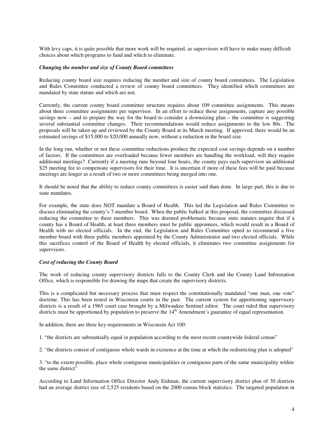With levy caps, it is quite possible that more work will be required, as supervisors will have to make many difficult choices about which programs to fund and which to eliminate.

#### *Changing the number and size of County Board committees*

Reducing county board size requires reducing the number and size of county board committees. The Legislation and Rules Committee conducted a review of county board committees. They identified which committees are mandated by state statute and which are not.

Currently, the current county board committee structure requires about 109 committee assignments. This means about three committee assignments per supervisor. In an effort to reduce those assignments, capture any possible savings now – and to prepare the way for the board to consider a downsizing plan – the committee is suggesting several substantial committee changes. Their recommendations would reduce assignments to the low 80s. The proposals will be taken up and reviewed by the County Board at its March meeting. If approved, there would be an estimated savings of \$15,000 to \$20,000 annually now, without a reduction in the board size.

In the long run, whether or not these committee reductions produce the expected cost savings depends on a number of factors. If the committees are overloaded because fewer members are handling the workload, will they require additional meetings? Currently if a meeting runs beyond four hours, the county pays each supervisor an additional \$25 meeting fee to compensate supervisors for their time. It is uncertain if more of these fees will be paid because meetings are longer as a result of two or more committees being merged into one.

It should be noted that the ability to reduce county committees is easier said than done. In large part, this is due to state mandates.

For example, the state does NOT mandate a Board of Health. This led the Legislation and Rules Committee to discuss eliminating the county's 7-member board. When the public balked at this proposal, the committee discussed reducing the committee to three members. This was deemed problematic because state statutes require that if a county has a Board of Health, at least three members must be public appointees, which would result in a Board of Health with no elected officials. In the end, the Legislation and Rules Committee opted to recommend a five member board with three public members appointed by the County Administrator and two elected officials. While this sacrifices control of the Board of Health by elected officials, it eliminates two committee assignments for supervisors.

#### *Cost of reducing the County Board*

The work of reducing county supervisory districts falls to the County Clerk and the County Land Information Office, which is responsible for drawing the maps that create the supervisory districts.

This is a complicated but necessary process that must respect the constitutionally mandated "one man, one vote" doctrine. This has been tested in Wisconsin courts in the past. The current system for apportioning supervisory districts is a result of a 1965 court case brought by a Milwaukee Sentinel editor. The court ruled that supervisory districts must be apportioned by population to preserve the 14<sup>th</sup> Amendment's guarantee of equal representation.

In addition, there are three key requirements in Wisconsin Act 100:

1. "the districts are substantially equal in population according to the most recent countywide federal census"

2. "the districts consist of contiguous whole wards in existence at the time at which the redistricting plan is adopted"

3. "to the extent possible, place whole contiguous municipalities or contiguous parts of the same municipality within the same district"

According to Land Information Office Director Andy Erdman, the current supervisory district plan of 30 districts had an average district size of 2,525 residents based on the 2000 census block statistics. The targeted population in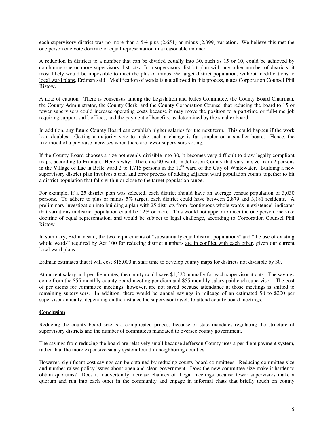each supervisory district was no more than a 5% plus (2,651) or minus (2,399) variation. We believe this met the one person one vote doctrine of equal representation in a reasonable manner.

A reduction in districts to a number that can be divided equally into 30, such as 15 or 10, could be achieved by combining one or more supervisory districts**.** In a supervisory district plan with any other number of districts, it most likely would be impossible to meet the plus or minus 5% target district population, without modifications to local ward plans, Erdman said. Modification of wards is not allowed in this process, notes Corporation Counsel Phil Ristow.

A note of caution. There is consensus among the Legislation and Rules Committee, the County Board Chairman, the County Administrator, the County Clerk, and the County Corporation Counsel that reducing the board to 15 or fewer supervisors could increase operating costs because it may move the position to a part-time or full-time job requiring support staff, offices, and the payment of benefits, as determined by the smaller board..

In addition, any future County Board can establish higher salaries for the next term. This could happen if the work load doubles. Getting a majority vote to make such a change is far simpler on a smaller board. Hence, the likelihood of a pay raise increases when there are fewer supervisors voting.

If the County Board chooses a size not evenly divisible into 30, it becomes very difficult to draw legally compliant maps, according to Erdman. Here's why: There are 90 wards in Jefferson County that vary in size from 2 persons in the Village of Lac la Belle ward 2 to 1,715 persons in the  $10<sup>th</sup>$  ward of the City of Whitewater. Building a new supervisory district plan involves a trial and error process of adding adjacent ward population counts together to hit a district population that falls within or close to the target population range.

For example, if a 25 district plan was selected, each district should have an average census population of 3,030 persons. To adhere to plus or minus 5% target, each district could have between 2,879 and 3,181 residents. A preliminary investigation into building a plan with 25 districts from "contiguous whole wards in existence" indicates that variations in district population could be 12% or more. This would not appear to meet the one person one vote doctrine of equal representation, and would be subject to legal challenge, according to Corporation Counsel Phil Ristow.

In summary, Erdman said, the two requirements of "substantially equal district populations" and "the use of existing whole wards" required by Act 100 for reducing district numbers are in conflict with each other, given our current local ward plans.

Erdman estimates that it will cost \$15,000 in staff time to develop county maps for districts not divisible by 30.

At current salary and per diem rates, the county could save \$1,320 annually for each supervisor it cuts. The savings come from the \$55 monthly county board meeting per diem and \$55 monthly salary paid each supervisor. The cost of per diems for committee meetings, however, are not saved because attendance at those meetings is shifted to remaining supervisors. In addition, there would be annual savings in mileage of an estimated \$0 to \$200 per supervisor annually, depending on the distance the supervisor travels to attend county board meetings.

#### **Conclusion**

Reducing the county board size is a complicated process because of state mandates regulating the structure of supervisory districts and the number of committees mandated to oversee county government.

The savings from reducing the board are relatively small because Jefferson County uses a per diem payment system, rather than the more expensive salary system found in neighboring counties.

However, significant cost savings can be obtained by reducing county board committees. Reducing committee size and number raises policy issues about open and clean government. Does the new committee size make it harder to obtain quorums? Does it inadvertently increase chances of illegal meetings because fewer supervisors make a quorum and run into each other in the community and engage in informal chats that briefly touch on county